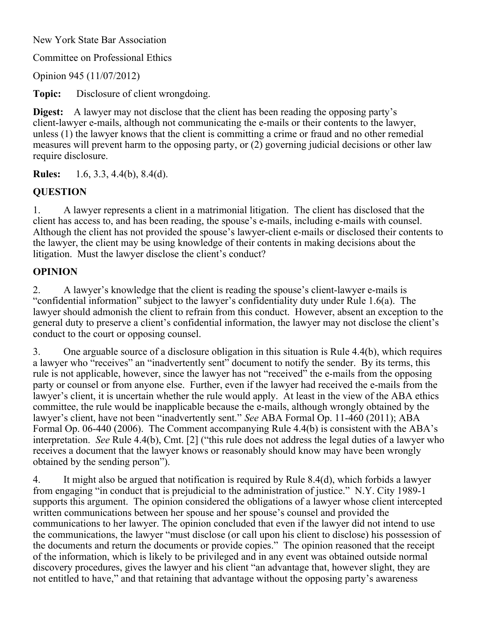New York State Bar Association

Committee on Professional Ethics

Opinion 945 (11/07/2012)

**Topic:** Disclosure of client wrongdoing.

**Digest:** A lawyer may not disclose that the client has been reading the opposing party's client-lawyer e-mails, although not communicating the e-mails or their contents to the lawyer, unless (1) the lawyer knows that the client is committing a crime or fraud and no other remedial measures will prevent harm to the opposing party, or (2) governing judicial decisions or other law require disclosure.

**Rules:** 1.6, 3.3, 4.4(b), 8.4(d).

## **QUESTION**

1. A lawyer represents a client in a matrimonial litigation. The client has disclosed that the client has access to, and has been reading, the spouse's e-mails, including e-mails with counsel. Although the client has not provided the spouse's lawyer-client e-mails or disclosed their contents to the lawyer, the client may be using knowledge of their contents in making decisions about the litigation. Must the lawyer disclose the client's conduct?

## **OPINION**

2. A lawyer's knowledge that the client is reading the spouse's client-lawyer e-mails is "confidential information" subject to the lawyer's confidentiality duty under Rule 1.6(a). The lawyer should admonish the client to refrain from this conduct. However, absent an exception to the general duty to preserve a client's confidential information, the lawyer may not disclose the client's conduct to the court or opposing counsel.

3. One arguable source of a disclosure obligation in this situation is Rule 4.4(b), which requires a lawyer who "receives" an "inadvertently sent" document to notify the sender. By its terms, this rule is not applicable, however, since the lawyer has not "received" the e-mails from the opposing party or counsel or from anyone else. Further, even if the lawyer had received the e-mails from the lawyer's client, it is uncertain whether the rule would apply. At least in the view of the ABA ethics committee, the rule would be inapplicable because the e-mails, although wrongly obtained by the lawyer's client, have not been "inadvertently sent." *See* ABA Formal Op. 11-460 (2011); ABA Formal Op. 06-440 (2006). The Comment accompanying Rule 4.4(b) is consistent with the ABA's interpretation. *See* Rule 4.4(b), Cmt. [2] ("this rule does not address the legal duties of a lawyer who receives a document that the lawyer knows or reasonably should know may have been wrongly obtained by the sending person").

4. It might also be argued that notification is required by Rule 8.4(d), which forbids a lawyer from engaging "in conduct that is prejudicial to the administration of justice." N.Y. City 1989-1 supports this argument. The opinion considered the obligations of a lawyer whose client intercepted written communications between her spouse and her spouse's counsel and provided the communications to her lawyer. The opinion concluded that even if the lawyer did not intend to use the communications, the lawyer "must disclose (or call upon his client to disclose) his possession of the documents and return the documents or provide copies." The opinion reasoned that the receipt of the information, which is likely to be privileged and in any event was obtained outside normal discovery procedures, gives the lawyer and his client "an advantage that, however slight, they are not entitled to have," and that retaining that advantage without the opposing party's awareness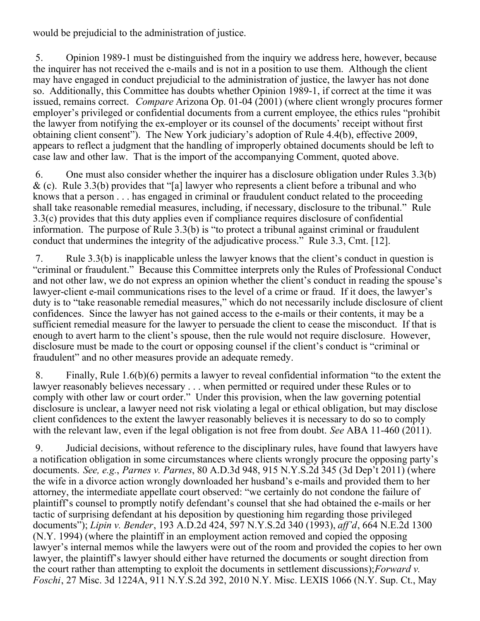would be prejudicial to the administration of justice.

 5. Opinion 1989-1 must be distinguished from the inquiry we address here, however, because the inquirer has not received the e-mails and is not in a position to use them. Although the client may have engaged in conduct prejudicial to the administration of justice, the lawyer has not done so. Additionally, this Committee has doubts whether Opinion 1989-1, if correct at the time it was issued, remains correct. *Compare* Arizona Op. 01-04 (2001) (where client wrongly procures former employer's privileged or confidential documents from a current employee, the ethics rules "prohibit the lawyer from notifying the ex-employer or its counsel of the documents' receipt without first obtaining client consent"). The New York judiciary's adoption of Rule 4.4(b), effective 2009, appears to reflect a judgment that the handling of improperly obtained documents should be left to case law and other law. That is the import of the accompanying Comment, quoted above.

 6. One must also consider whether the inquirer has a disclosure obligation under Rules 3.3(b)  $\&$  (c). Rule 3.3(b) provides that "[a] lawyer who represents a client before a tribunal and who knows that a person . . . has engaged in criminal or fraudulent conduct related to the proceeding shall take reasonable remedial measures, including, if necessary, disclosure to the tribunal." Rule 3.3(c) provides that this duty applies even if compliance requires disclosure of confidential information. The purpose of Rule 3.3(b) is "to protect a tribunal against criminal or fraudulent conduct that undermines the integrity of the adjudicative process." Rule 3.3, Cmt. [12].

 7. Rule 3.3(b) is inapplicable unless the lawyer knows that the client's conduct in question is "criminal or fraudulent." Because this Committee interprets only the Rules of Professional Conduct and not other law, we do not express an opinion whether the client's conduct in reading the spouse's lawyer-client e-mail communications rises to the level of a crime or fraud. If it does, the lawyer's duty is to "take reasonable remedial measures," which do not necessarily include disclosure of client confidences. Since the lawyer has not gained access to the e-mails or their contents, it may be a sufficient remedial measure for the lawyer to persuade the client to cease the misconduct. If that is enough to avert harm to the client's spouse, then the rule would not require disclosure. However, disclosure must be made to the court or opposing counsel if the client's conduct is "criminal or fraudulent" and no other measures provide an adequate remedy.

 8. Finally, Rule 1.6(b)(6) permits a lawyer to reveal confidential information "to the extent the lawyer reasonably believes necessary . . . when permitted or required under these Rules or to comply with other law or court order." Under this provision, when the law governing potential disclosure is unclear, a lawyer need not risk violating a legal or ethical obligation, but may disclose client confidences to the extent the lawyer reasonably believes it is necessary to do so to comply with the relevant law, even if the legal obligation is not free from doubt. *See* ABA 11-460 (2011).

 9. Judicial decisions, without reference to the disciplinary rules, have found that lawyers have a notification obligation in some circumstances where clients wrongly procure the opposing party's documents. *See, e.g.*, *Parnes v. Parnes*, 80 A.D.3d 948, 915 N.Y.S.2d 345 (3d Dep't 2011) (where the wife in a divorce action wrongly downloaded her husband's e-mails and provided them to her attorney, the intermediate appellate court observed: "we certainly do not condone the failure of plaintiff's counsel to promptly notify defendant's counsel that she had obtained the e-mails or her tactic of surprising defendant at his deposition by questioning him regarding those privileged documents"); *Lipin v. Bender*, 193 A.D.2d 424, 597 N.Y.S.2d 340 (1993), *aff'd*, 664 N.E.2d 1300 (N.Y. 1994) (where the plaintiff in an employment action removed and copied the opposing lawyer's internal memos while the lawyers were out of the room and provided the copies to her own lawyer, the plaintiff's lawyer should either have returned the documents or sought direction from the court rather than attempting to exploit the documents in settlement discussions); *Forward v. Foschi*, 27 Misc. 3d 1224A, 911 N.Y.S.2d 392, 2010 N.Y. Misc. LEXIS 1066 (N.Y. Sup. Ct., May